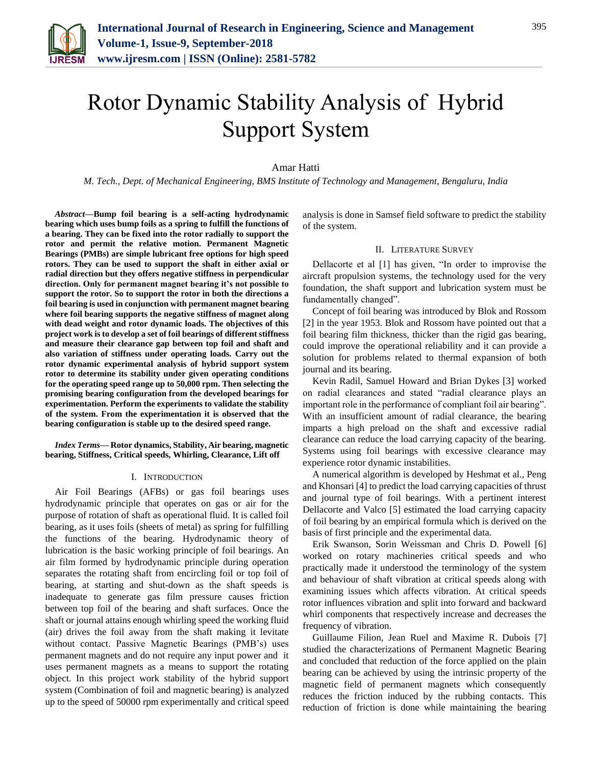

# Rotor Dynamic Stability Analysis of Hybrid Support System

# Amar Hatti

*M. Tech., Dept. of Mechanical Engineering, BMS Institute of Technology and Management, Bengaluru, India*

*Abstract***—Bump foil bearing is a self-acting hydrodynamic bearing which uses bump foils as a spring to fulfill the functions of a bearing. They can be fixed into the rotor radially to support the rotor and permit the relative motion. Permanent Magnetic Bearings (PMBs) are simple lubricant free options for high speed rotors. They can be used to support the shaft in either axial or radial direction but they offers negative stiffness in perpendicular direction. Only for permanent magnet bearing it's not possible to support the rotor. So to support the rotor in both the directions a foil bearing is used in conjunction with permanent magnet bearing where foil bearing supports the negative stiffness of magnet along with dead weight and rotor dynamic loads. The objectives of this project work is to develop a set of foil bearings of different stiffness and measure their clearance gap between top foil and shaft and also variation of stiffness under operating loads. Carry out the rotor dynamic experimental analysis of hybrid support system rotor to determine its stability under given operating conditions for the operating speed range up to 50,000 rpm. Then selecting the promising bearing configuration from the developed bearings for experimentation. Perform the experiments to validate the stability of the system. From the experimentation it is observed that the bearing configuration is stable up to the desired speed range.**

*Index Terms***— Rotor dynamics, Stability, Air bearing, magnetic bearing, Stiffness, Critical speeds, Whirling, Clearance, Lift off**

#### I. INTRODUCTION

Air Foil Bearings (AFBs) or gas foil bearings uses hydrodynamic principle that operates on gas or air for the purpose of rotation of shaft as operational fluid. It is called foil bearing, as it uses foils (sheets of metal) as spring for fulfilling the functions of the bearing. Hydrodynamic theory of lubrication is the basic working principle of foil bearings. An air film formed by hydrodynamic principle during operation separates the rotating shaft from encircling foil or top foil of bearing, at starting and shut-down as the shaft speeds is inadequate to generate gas film pressure causes friction between top foil of the bearing and shaft surfaces. Once the shaft or journal attains enough whirling speed the working fluid (air) drives the foil away from the shaft making it levitate without contact. Passive Magnetic Bearings (PMB's) uses permanent magnets and do not require any input power and it uses permanent magnets as a means to support the rotating object. In this project work stability of the hybrid support system (Combination of foil and magnetic bearing) is analyzed up to the speed of 50000 rpm experimentally and critical speed analysis is done in Samsef field software to predict the stability of the system.

### II. LITERATURE SURVEY

Dellacorte et al [1] has given, "In order to improvise the aircraft propulsion systems, the technology used for the very foundation, the shaft support and lubrication system must be fundamentally changed".

Concept of foil bearing was introduced by Blok and Rossom [2] in the year 1953. Blok and Rossom have pointed out that a foil bearing film thickness, thicker than the rigid gas bearing, could improve the operational reliability and it can provide a solution for problems related to thermal expansion of both journal and its bearing.

Kevin Radil, Samuel Howard and Brian Dykes [3] worked on radial clearances and stated "radial clearance plays an important role in the performance of compliant foil air bearing". With an insufficient amount of radial clearance, the bearing imparts a high preload on the shaft and excessive radial clearance can reduce the load carrying capacity of the bearing. Systems using foil bearings with excessive clearance may experience rotor dynamic instabilities.

A numerical algorithm is developed by Heshmat et al., Peng and Khonsari [4] to predict the load carrying capacities of thrust and journal type of foil bearings. With a pertinent interest Dellacorte and Valco [5] estimated the load carrying capacity of foil bearing by an empirical formula which is derived on the basis of first principle and the experimental data.

Erik Swanson, Sorin Weissman and Chris D. Powell [6] worked on rotary machineries critical speeds and who practically made it understood the terminology of the system and behaviour of shaft vibration at critical speeds along with examining issues which affects vibration. At critical speeds rotor influences vibration and split into forward and backward whirl components that respectively increase and decreases the frequency of vibration.

Guillaume Filion, Jean Ruel and Maxime R. Dubois [7] studied the characterizations of Permanent Magnetic Bearing and concluded that reduction of the force applied on the plain bearing can be achieved by using the intrinsic property of the magnetic field of permanent magnets which consequently reduces the friction induced by the rubbing contacts. This reduction of friction is done while maintaining the bearing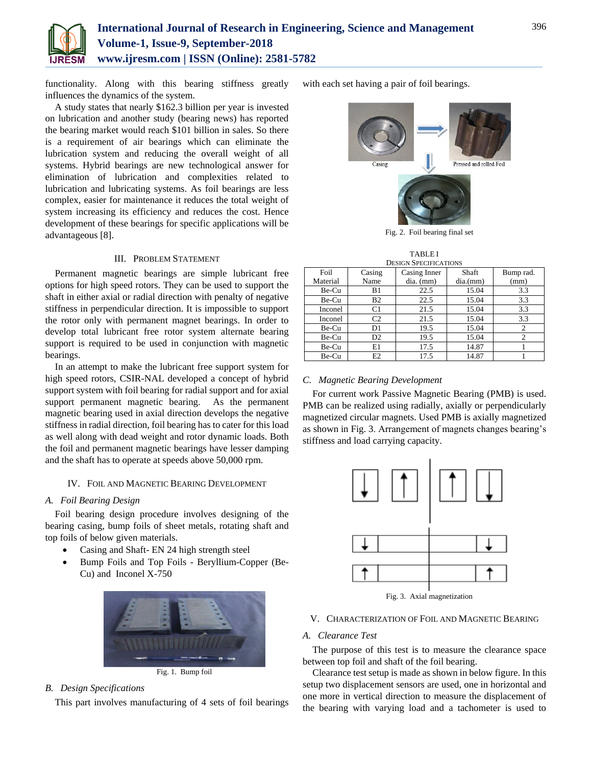

functionality. Along with this bearing stiffness greatly influences the dynamics of the system.

A study states that nearly \$162.3 billion per year is invested on lubrication and another study (bearing news) has reported the bearing market would reach \$101 billion in sales. So there is a requirement of air bearings which can eliminate the lubrication system and reducing the overall weight of all systems. Hybrid bearings are new technological answer for elimination of lubrication and complexities related to lubrication and lubricating systems. As foil bearings are less complex, easier for maintenance it reduces the total weight of system increasing its efficiency and reduces the cost. Hence development of these bearings for specific applications will be advantageous [8].

# III. PROBLEM STATEMENT

Permanent magnetic bearings are simple lubricant free options for high speed rotors. They can be used to support the shaft in either axial or radial direction with penalty of negative stiffness in perpendicular direction. It is impossible to support the rotor only with permanent magnet bearings. In order to develop total lubricant free rotor system alternate bearing support is required to be used in conjunction with magnetic bearings.

In an attempt to make the lubricant free support system for high speed rotors, CSIR-NAL developed a concept of hybrid support system with foil bearing for radial support and for axial support permanent magnetic bearing. As the permanent magnetic bearing used in axial direction develops the negative stiffness in radial direction, foil bearing has to cater for this load as well along with dead weight and rotor dynamic loads. Both the foil and permanent magnetic bearings have lesser damping and the shaft has to operate at speeds above 50,000 rpm.

# IV. FOIL AND MAGNETIC BEARING DEVELOPMENT

# *A. Foil Bearing Design*

Foil bearing design procedure involves designing of the bearing casing, bump foils of sheet metals, rotating shaft and top foils of below given materials.

- Casing and Shaft- EN 24 high strength steel
- Bump Foils and Top Foils Beryllium-Copper (Be-Cu) and Inconel X-750



Fig. 1. Bump foil

#### *B. Design Specifications*

This part involves manufacturing of 4 sets of foil bearings

with each set having a pair of foil bearings.



Fig. 2. Foil bearing final set

# TABLE I

| <b>DESIGN SPECIFICATIONS</b> |                |                       |         |           |  |
|------------------------------|----------------|-----------------------|---------|-----------|--|
| Foil                         | Casing         | Casing Inner<br>Shaft |         | Bump rad. |  |
| Material                     | Name           | $dia.$ (mm)           | dia(mm) | (mm)      |  |
| Be-Cu                        | B1             | 22.5                  | 15.04   | 3.3       |  |
| Be-Cu                        | B <sub>2</sub> | 22.5                  | 15.04   | 3.3       |  |
| Inconel                      | C <sub>1</sub> | 21.5                  | 15.04   | 3.3       |  |
| Inconel                      | C <sub>2</sub> | 21.5                  | 15.04   | 3.3       |  |
| Be-Cu                        | D1             | 19.5                  | 15.04   | 2         |  |
| Be-Cu                        | D <sub>2</sub> | 19.5                  | 15.04   | 2         |  |
| Be-Cu                        | E1             | 17.5                  | 14.87   |           |  |
| Be-Cu                        | E2             | 17.5                  | 14.87   |           |  |

#### *C. Magnetic Bearing Development*

For current work Passive Magnetic Bearing (PMB) is used. PMB can be realized using radially, axially or perpendicularly magnetized circular magnets. Used PMB is axially magnetized as shown in Fig. 3. Arrangement of magnets changes bearing's stiffness and load carrying capacity.



Fig. 3. Axial magnetization

#### V. CHARACTERIZATION OF FOIL AND MAGNETIC BEARING

# *A. Clearance Test*

The purpose of this test is to measure the clearance space between top foil and shaft of the foil bearing.

Clearance test setup is made as shown in below figure. In this setup two displacement sensors are used, one in horizontal and one more in vertical direction to measure the displacement of the bearing with varying load and a tachometer is used to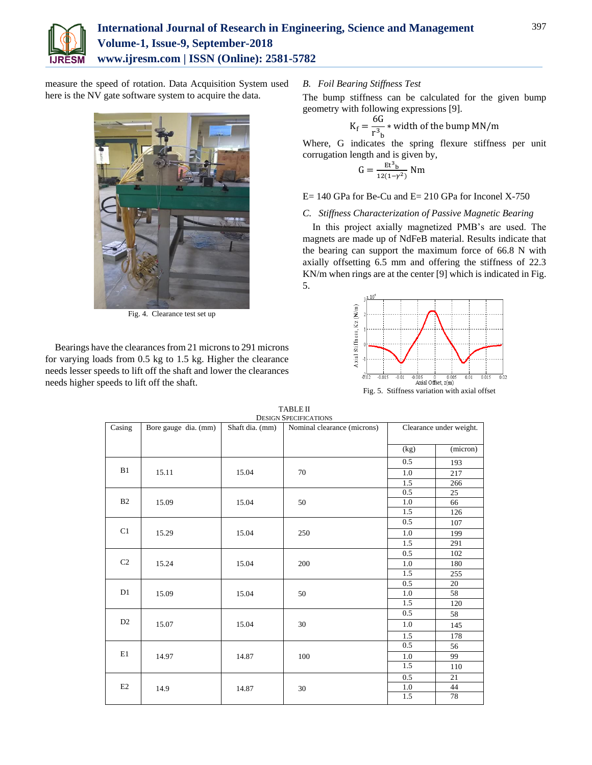

measure the speed of rotation. Data Acquisition System used here is the NV gate software system to acquire the data.



Fig. 4. Clearance test set up

Bearings have the clearances from 21 microns to 291 microns for varying loads from 0.5 kg to 1.5 kg. Higher the clearance needs lesser speeds to lift off the shaft and lower the clearances needs higher speeds to lift off the shaft.

#### *B. Foil Bearing Stiffness Test*

The bump stiffness can be calculated for the given bump geometry with following expressions [9].

$$
K_{\rm f} = \frac{6G}{r^3}_{\rm b} * \text{width of the bump MN/m}
$$

Where, G indicates the spring flexure stiffness per unit corrugation length and is given by,

$$
G = \frac{\text{Et}^3_{\text{b}}}{12(1-\gamma^2)} \text{ Nm}
$$

# $E= 140$  GPa for Be-Cu and  $E= 210$  GPa for Inconel X-750

# *C. Stiffness Characterization of Passive Magnetic Bearing*

In this project axially magnetized PMB's are used. The magnets are made up of NdFeB material. Results indicate that the bearing can support the maximum force of 66.8 N with axially offsetting 6.5 mm and offering the stiffness of 22.3 KN/m when rings are at the center [9] which is indicated in Fig. 5.



|                |                      |                 | <b>DESIGN SPECIFICATIONS</b> |                         |          |
|----------------|----------------------|-----------------|------------------------------|-------------------------|----------|
| Casing         | Bore gauge dia. (mm) | Shaft dia. (mm) | Nominal clearance (microns)  | Clearance under weight. |          |
|                |                      |                 |                              |                         |          |
|                |                      |                 |                              | (kg)                    | (micron) |
|                |                      |                 |                              | 0.5                     | 193      |
| B1             | 15.11                | 15.04           | 70                           | $1.0\,$                 | 217      |
|                |                      |                 |                              | 1.5                     | 266      |
|                |                      |                 |                              | 0.5                     | 25       |
| B <sub>2</sub> | 15.09                | 15.04           | 50                           | 1.0                     | 66       |
|                |                      |                 |                              | 1.5                     | 126      |
|                |                      |                 |                              | 0.5                     | 107      |
| C1             | 15.29                | 15.04           | 250                          | 1.0                     | 199      |
|                |                      |                 |                              | 1.5                     | 291      |
|                |                      |                 |                              | 0.5                     | 102      |
| C <sub>2</sub> | 15.24                | 15.04           | 200                          | 1.0                     | 180      |
|                |                      |                 |                              | 1.5                     | 255      |
|                |                      |                 |                              | 0.5                     | 20       |
| D1             | 15.09                | 15.04           | 50                           | 1.0                     | 58       |
|                |                      |                 |                              | 1.5                     | 120      |
|                |                      |                 |                              | 0.5                     | 58       |
| D <sub>2</sub> | 15.07                | 15.04           | 30                           | 1.0                     | 145      |
|                |                      |                 |                              | $1.\overline{5}$        | 178      |
|                |                      |                 |                              | 0.5                     | 56       |
| E1             | 14.97                | 14.87           | 100                          | 1.0                     | 99       |
|                |                      |                 |                              | 1.5                     | 110      |
|                |                      |                 |                              | 0.5                     | 21       |
| E2             | 14.9                 | 14.87           | 30                           | 1.0                     | 44       |
|                |                      |                 |                              | 1.5                     | 78       |
|                |                      |                 |                              |                         |          |

TABLE II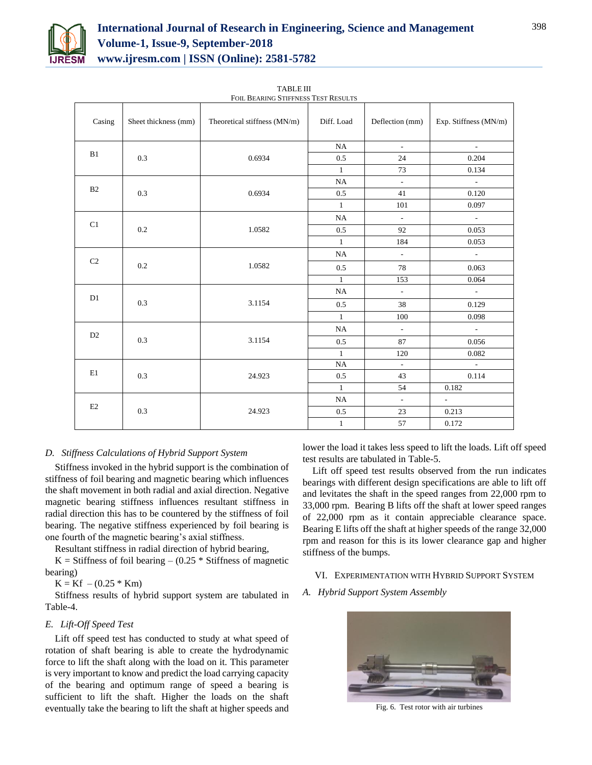

| Casing                | Sheet thickness (mm) | Theoretical stiffness (MN/m) | Diff. Load     | Deflection (mm)             | Exp. Stiffness (MN/m)       |
|-----------------------|----------------------|------------------------------|----------------|-----------------------------|-----------------------------|
|                       |                      |                              | $\rm NA$       | $\sim$                      | $\sim$                      |
| B1                    | 0.3                  | 0.6934                       | 0.5            | 24                          | 0.204                       |
|                       |                      |                              | $\mathbf{1}$   | 73                          | 0.134                       |
|                       |                      |                              | $\rm NA$       | $\mathcal{L}^{\mathcal{L}}$ | $\sim$                      |
| B2                    | 0.3                  | 0.6934                       | 0.5            | 41                          | 0.120                       |
|                       |                      |                              | $\mathbf{1}$   | $101\,$                     | 0.097                       |
|                       |                      |                              | NA             | $\sim$                      | $\sim$                      |
| C1                    | 0.2                  | 1.0582                       | 0.5            | 92                          | 0.053                       |
|                       |                      |                              | $\mathbf{1}$   | 184                         | 0.053                       |
|                       |                      | 1.0582                       | NA             | $\omega$                    | $\sim$                      |
| C <sub>2</sub>        | 0.2                  |                              | 0.5            | 78                          | 0.063                       |
|                       |                      |                              | $\mathbf{1}$   | 153                         | 0.064                       |
| D1<br>0.3             |                      | 3.1154                       | $\rm NA$       | $\omega$                    | $\mathcal{L}_{\mathcal{A}}$ |
|                       |                      |                              | $0.5\,$        | 38                          | 0.129                       |
|                       |                      |                              | $\mathbf{1}$   | 100                         | 0.098                       |
| D <sub>2</sub><br>0.3 |                      |                              | $\rm NA$       | $\omega$                    | $\sim$                      |
|                       |                      | 3.1154                       | 0.5            | 87                          | 0.056                       |
|                       |                      |                              | $\mathbf{1}$   | 120                         | 0.082                       |
| E1                    | 0.3                  |                              | $\rm NA$       | $\sim$                      | $\sim$                      |
|                       |                      | 24.923                       | 0.5            | 43                          | 0.114                       |
|                       |                      |                              | $\overline{1}$ | 54                          | 0.182                       |
|                       |                      |                              | NA             | $\mathcal{L}$               | $\omega_{\rm{max}}$         |
| E2                    | 0.3                  | 24.923                       | 0.5            | 23                          | 0.213                       |
|                       |                      |                              | $\mathbf{1}$   | 57                          | 0.172                       |

TABLE III FOIL BEARING STIFFNESS TEST RESULTS

# *D. Stiffness Calculations of Hybrid Support System*

Stiffness invoked in the hybrid support is the combination of stiffness of foil bearing and magnetic bearing which influences the shaft movement in both radial and axial direction. Negative magnetic bearing stiffness influences resultant stiffness in radial direction this has to be countered by the stiffness of foil bearing. The negative stiffness experienced by foil bearing is one fourth of the magnetic bearing's axial stiffness.

Resultant stiffness in radial direction of hybrid bearing,

 $K = Stiffness of foil bearing - (0.25 * Stiffness of magnetic)$ bearing)

 $K = Kf - (0.25 * Km)$ 

Stiffness results of hybrid support system are tabulated in Table-4.

# *E. Lift-Off Speed Test*

Lift off speed test has conducted to study at what speed of rotation of shaft bearing is able to create the hydrodynamic force to lift the shaft along with the load on it. This parameter is very important to know and predict the load carrying capacity of the bearing and optimum range of speed a bearing is sufficient to lift the shaft. Higher the loads on the shaft eventually take the bearing to lift the shaft at higher speeds and lower the load it takes less speed to lift the loads. Lift off speed test results are tabulated in Table-5.

Lift off speed test results observed from the run indicates bearings with different design specifications are able to lift off and levitates the shaft in the speed ranges from 22,000 rpm to 33,000 rpm. Bearing B lifts off the shaft at lower speed ranges of 22,000 rpm as it contain appreciable clearance space. Bearing E lifts off the shaft at higher speeds of the range 32,000 rpm and reason for this is its lower clearance gap and higher stiffness of the bumps.

#### VI. EXPERIMENTATION WITH HYBRID SUPPORT SYSTEM

*A. Hybrid Support System Assembly*



Fig. 6. Test rotor with air turbines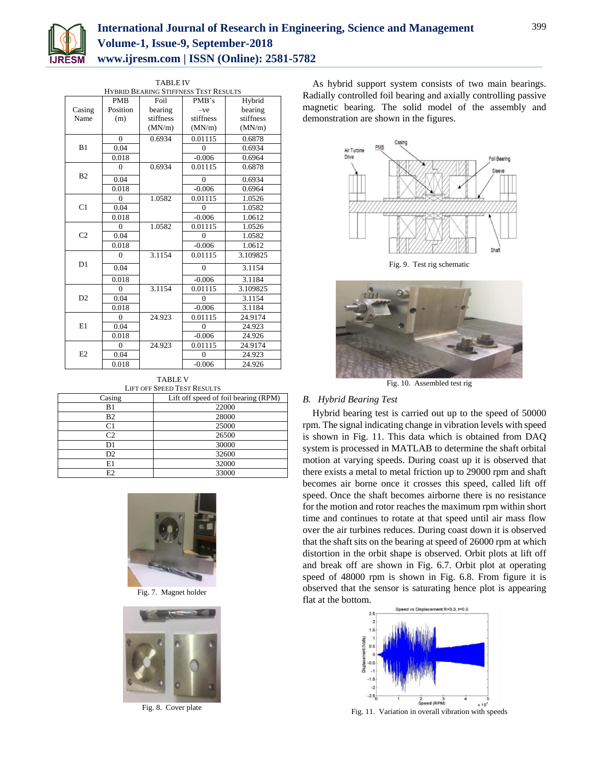

| <b>TABLE IV</b>                              |            |           |                      |           |
|----------------------------------------------|------------|-----------|----------------------|-----------|
| <b>HYBRID BEARING STIFFNESS TEST RESULTS</b> |            |           |                      |           |
|                                              | <b>PMB</b> | Foil      | PMB's                | Hybrid    |
| Casing                                       | Position   | bearing   | $-ve$                | bearing   |
| Name                                         | (m)        | stiffness | stiffness            | stiffness |
|                                              |            | (MN/m)    | (MN/m)               | (MN/m)    |
|                                              | $\theta$   | 0.6934    | 0.01115              | 0.6878    |
| B1                                           | 0.04       |           | $\Omega$             | 0.6934    |
|                                              | 0.018      |           | $-0.006$             | 0.6964    |
|                                              | $\theta$   | 0.6934    | 0.01115              | 0.6878    |
| B <sub>2</sub>                               | 0.04       |           | $\theta$             | 0.6934    |
|                                              | 0.018      |           | $-0.006$             | 0.6964    |
|                                              | $\theta$   | 1.0582    | 0.01115              | 1.0526    |
| C <sub>1</sub>                               | 0.04       |           | $\Omega$             | 1.0582    |
|                                              | 0.018      |           | $-0.006$             | 1.0612    |
|                                              | $\theta$   | 1.0582    | $0.\overline{01115}$ | 1.0526    |
| C <sub>2</sub>                               | 0.04       |           | $\theta$             | 1.0582    |
|                                              | 0.018      |           | $-0.006$             | 1.0612    |
| D <sub>1</sub>                               | $\Omega$   | 3.1154    | 0.01115              | 3.109825  |
|                                              | 0.04       |           | $\overline{0}$       | 3.1154    |
|                                              | 0.018      |           | $-0.006$             | 3.1184    |
|                                              | $\theta$   | 3.1154    | 0.01115              | 3.109825  |
| D2                                           | 0.04       |           | $\theta$             | 3.1154    |
|                                              | 0.018      |           | $-0.006$             | 3.1184    |
|                                              | $\theta$   | 24.923    | 0.01115              | 24.9174   |
| E1                                           | 0.04       |           | $\Omega$             | 24.923    |
|                                              | 0.018      |           | $-0.006$             | 24.926    |
| E2                                           | $\theta$   | 24.923    | 0.01115              | 24.9174   |
|                                              | 0.04       |           | $\theta$             | 24.923    |
|                                              | 0.018      |           | $-0.006$             | 24.926    |

TABLE V

| <b>LIFT OFF SPEED TEST RESULTS</b> |                                      |  |  |
|------------------------------------|--------------------------------------|--|--|
| Casing                             | Lift off speed of foil bearing (RPM) |  |  |
| B1                                 | 22000                                |  |  |
| B <sub>2</sub>                     | 28000                                |  |  |
| C1                                 | 25000                                |  |  |
| C <sub>2</sub>                     | 26500                                |  |  |
| D1                                 | 30000                                |  |  |
| D <sub>2</sub>                     | 32600                                |  |  |
| E1                                 | 32000                                |  |  |
| E <sub>2</sub>                     | 33000                                |  |  |



Fig. 7. Magnet holder



Fig. 8. Cover plate

As hybrid support system consists of two main bearings. Radially controlled foil bearing and axially controlling passive magnetic bearing. The solid model of the assembly and demonstration are shown in the figures.



Fig. 9. Test rig schematic



Fig. 10. Assembled test rig

#### *B. Hybrid Bearing Test*

Hybrid bearing test is carried out up to the speed of 50000 rpm. The signal indicating change in vibration levels with speed is shown in Fig. 11. This data which is obtained from DAQ system is processed in MATLAB to determine the shaft orbital motion at varying speeds. During coast up it is observed that there exists a metal to metal friction up to 29000 rpm and shaft becomes air borne once it crosses this speed, called lift off speed. Once the shaft becomes airborne there is no resistance for the motion and rotor reaches the maximum rpm within short time and continues to rotate at that speed until air mass flow over the air turbines reduces. During coast down it is observed that the shaft sits on the bearing at speed of 26000 rpm at which distortion in the orbit shape is observed. Orbit plots at lift off and break off are shown in Fig. 6.7. Orbit plot at operating speed of 48000 rpm is shown in Fig. 6.8. From figure it is observed that the sensor is saturating hence plot is appearing flat at the bottom.



Fig. 11. Variation in overall vibration with speeds